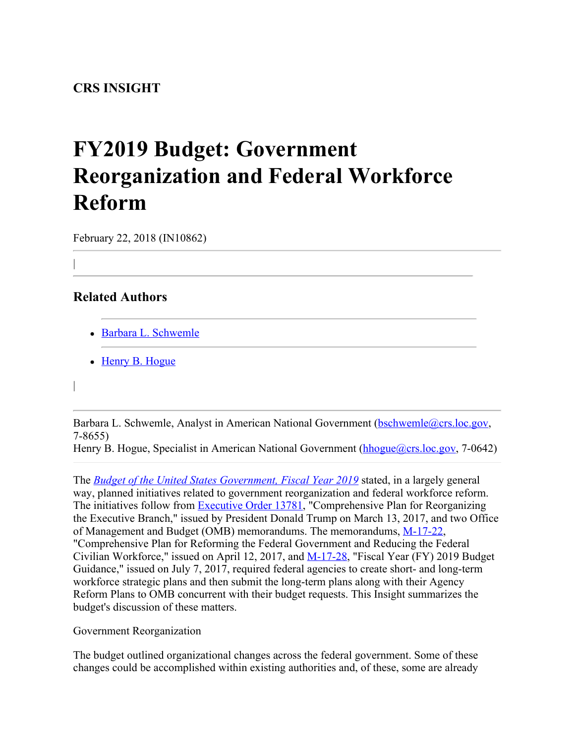## **FY2019 Budget: Government Reorganization and Federal Workforce Reform**

February 22, 2018 (IN10862)

## **Related Authors**

|

|

- [Barbara L. Schwemle](http://www.crs.gov/Author/index?id=3909)
- [Henry B. Hogue](http://www.crs.gov/Author/index?id=57783)

Barbara L. Schwemle, Analyst in American National Government [\(bschwemle@crs.loc.gov](mailto:bschwemle@crs.loc.gov), 7-8655)

Henry B. Hogue, Specialist in American National Government [\(hhogue@crs.loc.gov](mailto:hhogue@crs.loc.gov), 7-0642)

The *[Budget of the United States Government, Fiscal Year 2019](https://www.whitehouse.gov/omb/budget/)* stated, in a largely general way, planned initiatives related to government reorganization and federal workforce reform. The initiatives follow from **Executive Order 13781**, "Comprehensive Plan for Reorganizing the Executive Branch," issued by President Donald Trump on March 13, 2017, and two Office of Management and Budget (OMB) memorandums. The memorandums, [M-17-22](https://www.whitehouse.gov/sites/whitehouse.gov/files/omb/memoranda/2017/M-17-22.pdf), "Comprehensive Plan for Reforming the Federal Government and Reducing the Federal Civilian Workforce," issued on April 12, 2017, and [M-17-28](https://www.whitehouse.gov/sites/whitehouse.gov/files/omb/memoranda/2017/M-17-28.pdf), "Fiscal Year (FY) 2019 Budget Guidance," issued on July 7, 2017, required federal agencies to create short- and long-term workforce strategic plans and then submit the long-term plans along with their Agency Reform Plans to OMB concurrent with their budget requests. This Insight summarizes the budget's discussion of these matters.

Government Reorganization

The budget outlined organizational changes across the federal government. Some of these changes could be accomplished within existing authorities and, of these, some are already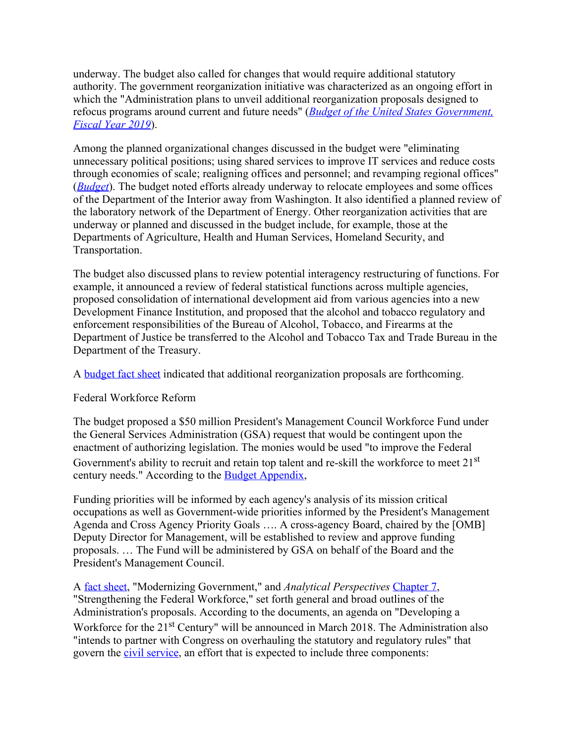underway. The budget also called for changes that would require additional statutory authority. The government reorganization initiative was characterized as an ongoing effort in which the "Administration plans to unveil additional reorganization proposals designed to refocus programs around current and future needs" (*[Budget of the United States Government,](https://www.whitehouse.gov/wp-content/uploads/2018/02/budget-fy2019.pdf#page=14) [Fiscal Year 2019](https://www.whitehouse.gov/wp-content/uploads/2018/02/budget-fy2019.pdf#page=14)*).

Among the planned organizational changes discussed in the budget were "eliminating unnecessary political positions; using shared services to improve IT services and reduce costs through economies of scale; realigning offices and personnel; and revamping regional offices" (*[Budget](https://www.whitehouse.gov/wp-content/uploads/2018/02/budget-fy2019.pdf#page=14)*). The budget noted efforts already underway to relocate employees and some offices of the Department of the Interior away from Washington. It also identified a planned review of the laboratory network of the Department of Energy. Other reorganization activities that are underway or planned and discussed in the budget include, for example, those at the Departments of Agriculture, Health and Human Services, Homeland Security, and Transportation.

The budget also discussed plans to review potential interagency restructuring of functions. For example, it announced a review of federal statistical functions across multiple agencies, proposed consolidation of international development aid from various agencies into a new Development Finance Institution, and proposed that the alcohol and tobacco regulatory and enforcement responsibilities of the Bureau of Alcohol, Tobacco, and Firearms at the Department of Justice be transferred to the Alcohol and Tobacco Tax and Trade Bureau in the Department of the Treasury.

A [budget fact sheet](https://www.whitehouse.gov/wp-content/uploads/2018/02/FY19-Budget-Fact-Sheet_Modernizing-Government.pdf) indicated that additional reorganization proposals are forthcoming.

## Federal Workforce Reform

The budget proposed a \$50 million President's Management Council Workforce Fund under the General Services Administration (GSA) request that would be contingent upon the enactment of authorizing legislation. The monies would be used "to improve the Federal Government's ability to recruit and retain top talent and re-skill the workforce to meet 21<sup>st</sup> century needs." According to the [Budget Appendix,](https://www.whitehouse.gov/wp-content/uploads/2018/02/appendix-fy2019.pdf#page=1079)

Funding priorities will be informed by each agency's analysis of its mission critical occupations as well as Government-wide priorities informed by the President's Management Agenda and Cross Agency Priority Goals …. A cross-agency Board, chaired by the [OMB] Deputy Director for Management, will be established to review and approve funding proposals. … The Fund will be administered by GSA on behalf of the Board and the President's Management Council.

A [fact sheet](https://www.whitehouse.gov/wp-content/uploads/2018/02/FY19-Budget-Fact-Sheet_Modernizing-Government.pdf), "Modernizing Government," and *Analytical Perspectives* [Chapter 7](https://www.whitehouse.gov/wp-content/uploads/2018/02/ap_7_strengthening-fy2019.pdf), "Strengthening the Federal Workforce," set forth general and broad outlines of the Administration's proposals. According to the documents, an agenda on "Developing a Workforce for the 21<sup>st</sup> Century" will be announced in March 2018. The Administration also "intends to partner with Congress on overhauling the statutory and regulatory rules" that govern the [civil service](https://archive.opm.gov/biographyofanideal/PDF/BiographyOfAnIdeal.pdf), an effort that is expected to include three components: